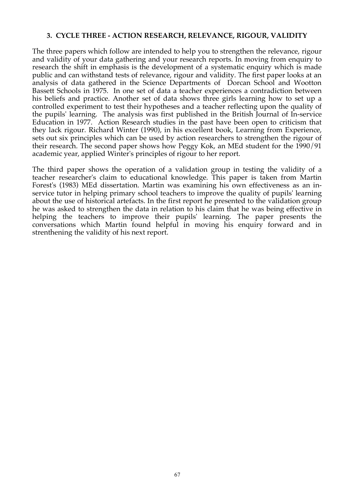# **3. CYCLE THREE - ACTION RESEARCH, RELEVANCE, RIGOUR, VALIDITY**

The three papers which follow are intended to help you to strengthen the relevance, rigour and validity of your data gathering and your research reports. In moving from enquiry to research the shift in emphasis is the development of a systematic enquiry which is made public and can withstand tests of relevance, rigour and validity. The first paper looks at an analysis of data gathered in the Science Departments of Dorcan School and Wootton Bassett Schools in 1975. In one set of data a teacher experiences a contradiction between his beliefs and practice. Another set of data shows three girls learning how to set up a controlled experiment to test their hypotheses and a teacher reflecting upon the quality of the pupils' learning. The analysis was first published in the British Journal of In-service Education in 1977. Action Research studies in the past have been open to criticism that they lack rigour. Richard Winter (1990), in his excellent book, Learning from Experience, sets out six principles which can be used by action researchers to strengthen the rigour of their research. The second paper shows how Peggy Kok, an MEd student for the 1990/91 academic year, applied Winter's principles of rigour to her report.

The third paper shows the operation of a validation group in testing the validity of a teacher researcher's claim to educational knowledge. This paper is taken from Martin Forest's (1983) MEd dissertation. Martin was examining his own effectiveness as an inservice tutor in helping primary school teachers to improve the quality of pupils' learning about the use of historical artefacts. In the first report he presented to the validation group he was asked to strengthen the data in relation to his claim that he was being effective in helping the teachers to improve their pupils' learning. The paper presents the conversations which Martin found helpful in moving his enquiry forward and in strenthening the validity of his next report.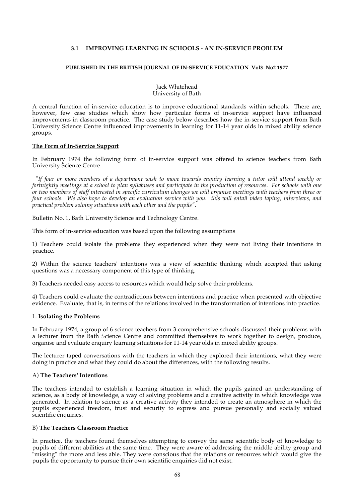### **3.1 IMPROVING LEARNING IN SCHOOLS - AN IN-SERVICE PROBLEM**

#### **PUBLISHED IN THE BRITISH JOURNAL OF IN-SERVICE EDUCATION Vol3 No2 1977**

Jack Whitehead University of Bath

A central function of in-service education is to improve educational standards within schools. There are, however, few case studies which show how particular forms of in-service support have influenced improvements in classroom practice. The case study below describes how the in-service support from Bath University Science Centre influenced improvements in learning for 11-14 year olds in mixed ability science groups.

#### **The Form of In-Service Support**

In February 1974 the following form of in-service support was offered to science teachers from Bath University Science Centre.

"If four or more members of a department wish to move towards enquiry learning a tutor will attend weekly or fortnightly meetings at a school to plan syllabuses and participate in the production of resources. For schools with one or two members of staff interested in specific curriculum changes we will organise meetings with teachers from three or four schools. We also hope to develop an evaluation service with you. this will entail video taping, interviews, and *practical problem solving situations with each other and the pupils".*

Bulletin No. 1, Bath University Science and Technology Centre.

This form of in-service education was based upon the following assumptions

1) Teachers could isolate the problems they experienced when they were not living their intentions in practice.

2) Within the science teachers' intentions was a view of scientific thinking which accepted that asking questions was a necessary component of this type of thinking.

3) Teachers needed easy access to resources which would help solve their problems.

4) Teachers could evaluate the contradictions between intentions and practice when presented with objective evidence. Evaluate, that is, in terms of the relations involved in the transformation of intentions into practice.

#### 1. **Isolating the Problems**

In February 1974, a group of 6 science teachers from 3 comprehensive schools discussed their problems with a lecturer from the Bath Science Centre and committed themselves to work together to design, produce, organise and evaluate enquiry learning situations for 11-14 year olds in mixed ability groups.

The lecturer taped conversations with the teachers in which they explored their intentions, what they were doing in practice and what they could do about the differences, with the following results.

#### A) **The Teachers' Intentions**

The teachers intended to establish a learning situation in which the pupils gained an understanding of science, as a body of knowledge, a way of solving problems and a creative activity in which knowledge was generated. In relation to science as a creative activity they intended to create an atmosphere in which the pupils experienced freedom, trust and security to express and pursue personally and socially valued scientific enquiries.

#### B) **The Teachers Classroom Practice**

In practice, the teachers found themselves attempting to convey the same scientific body of knowledge to pupils of different abilities at the same time. They were aware of addressing the middle ability group and "missing" the more and less able. They were conscious that the relations or resources which would give the pupils the opportunity to pursue their own scientific enquiries did not exist.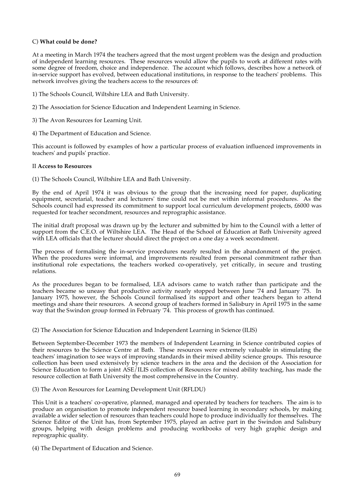## C) **What could be done?**

At a meeting in March 1974 the teachers agreed that the most urgent problem was the design and production of independent learning resources. These resources would allow the pupils to work at different rates with some degree of freedom, choice and independence. The account which follows, describes how a network of in-service support has evolved, between educational institutions, in response to the teachers' problems. This network involves giving the teachers access to the resources of:

1) The Schools Council, Wiltshire LEA and Bath University.

- 2) The Association for Science Education and Independent Learning in Science.
- 3) The Avon Resources for Learning Unit.
- 4) The Department of Education and Science.

This account is followed by examples of how a particular process of evaluation influenced improvements in teachers' and pupils' practice.

#### II **Access to Resources**

(1) The Schools Council, Wiltshire LEA and Bath University.

By the end of April 1974 it was obvious to the group that the increasing need for paper, duplicating equipment, secretarial, teacher and lecturers' time could not be met within informal procedures. As the Schools council had expressed its commitment to support local curriculum development projects, £6000 was requested for teacher secondment, resources and reprographic assistance.

The initial draft proposal was drawn up by the lecturer and submitted by him to the Council with a letter of support from the C.E.O. of Wiltshire LEA. The Head of the School of Education at Bath University agreed with LEA officials that the lecturer should direct the project on a one day a week secondment.

The process of formalising the in-service procedures nearly resulted in the abandonment of the project. When the procedures were informal, and improvements resulted from personal commitment rather than institutional role expectations, the teachers worked co-operatively, yet critically, in secure and trusting relations.

As the procedures began to be formalised, LEA advisors came to watch rather than participate and the teachers became so uneasy that productive activity nearly stopped between June '74 and January '75. In January 1975, however, the Schools Council formalised its support and other teachers began to attend meetings and share their resources. A second group of teachers formed in Salisbury in April 1975 in the same way that the Swindon group formed in February '74. This process of growth has continued.

(2) The Association for Science Education and Independent Learning in Science (ILIS)

Between September-December 1973 the members of Independent Learning in Science contributed copies of their resources to the Science Centre at Bath. These resources were extremely valuable in stimulating the teachers' imagination to see ways of improving standards in their mixed ability science groups. This resource collection has been used extensively by science teachers in the area and the decision of the Association for Science Education to form a joint ASE/ILIS collection of Resources for mixed ability teaching, has made the resource collection at Bath University the most comprehensive in the Country.

(3) The Avon Resources for Learning Development Unit (RFLDU)

This Unit is a teachers' co-operative, planned, managed and operated by teachers for teachers. The aim is to produce an organisation to promote independent resource based learning in secondary schools, by making available a wider selection of resources than teachers could hope to produce individually for themselves. The Science Editor of the Unit has, from September 1975, played an active part in the Swindon and Salisbury groups, helping with design problems and producing workbooks of very high graphic design and reprographic quality.

(4) The Department of Education and Science.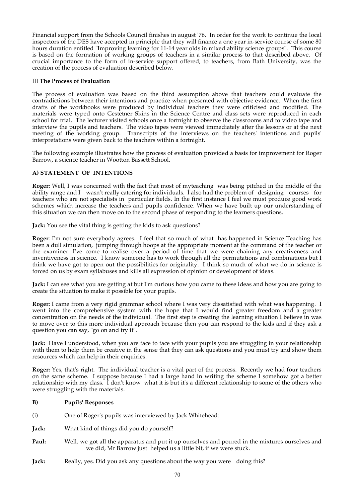Financial support from the Schools Council finishes in august '76. In order for the work to continue the local inspectors of the DES have accepted in principle that they will finance a one year in-service course of some 80 hours duration entitled "Improving learning for 11-14 year olds in mixed ability science groups". This course is based on the formation of working groups of teachers in a similar process to that described above. Of crucial importance to the form of in-service support offered, to teachers, from Bath University, was the creation of the process of evaluation described below.

#### III **The Process of Evaluation**

The process of evaluation was based on the third assumption above that teachers could evaluate the contradictions between their intentions and practice when presented with objective evidence. When the first drafts of the workbooks were produced by individual teachers they were criticised and modified. The materials were typed onto Gestetner Skins in the Science Centre and class sets were reproduced in each school for trial. The lecturer visited schools once a fortnight to observe the classrooms and to video tape and interview the pupils and teachers. The video tapes were viewed immediately after the lessons or at the next meeting of the working group. Transcripts of the interviews on the teachers' intentions and pupils' interpretations were given back to the teachers within a fortnight.

The following example illustrates how the process of evaluation provided a basis for improvement for Roger Barrow, a science teacher in Wootton Bassett School.

### **A) STATEMENT OF INTENTIONS**

**Roger:** Well, I was concerned with the fact that most of myteaching was being pitched in the middle of the ability range and I wasn't really catering for individuals. I also had the problem of designing courses for teachers who are not specialists in particular fields. In the first instance I feel we must produce good work schemes which increase the teachers and pupils confidence. When we have built up our understanding of this situation we can then move on to the second phase of responding to the learners questions.

**Jack:** You see the vital thing is getting the kids to ask questions?

**Roger**: I'm not sure everybody agrees. I feel that so much of what has happened in Science Teaching has been a dull simulation, jumping through hoops at the appropriate moment at the command of the teacher or the examiner. I've come to realise over a period of time that we were chaining any creativeness and inventiveness in science. I know someone has to work through all the permutations and combinations but I think we have got to open out the possibilities for originality. I think so much of what we do in science is forced on us by exam syllabuses and kills all expression of opinion or development of ideas.

**Jack:** I can see what you are getting at but I'm curious how you came to these ideas and how you are going to create the situation to make it possible for your pupils.

**Roger:** I came from a very rigid grammar school where I was very dissatisfied with what was happening. I went into the comprehensive system with the hope that I would find greater freedom and a greater concentration on the needs of the individual. The first step is creating the learning situation I believe in was to move over to this more individual approach because then you can respond to the kids and if they ask a question you can say, "go on and try it".

**Jack:** Have I understood, when you are face to face with your pupils you are struggling in your relationship with them to help them be creative in the sense that they can ask questions and you must try and show them resources which can help in their enquiries.

**Roger:** Yes, that's right. The individual teacher is a vital part of the process. Recently we had four teachers on the same scheme. I suppose because I had a large hand in writing the scheme I somehow got a better relationship with my class. I don't know what it is but it's a different relationship to some of the others who were struggling with the materials.

#### **B) Pupils' Responses**

- (i) One of Roger's pupils was interviewed by Jack Whitehead:
- **Jack:** What kind of things did you do yourself?
- **Paul:** Well, we got all the apparatus and put it up ourselves and poured in the mixtures ourselves and we did, Mr Barrow just helped us a little bit, if we were stuck.
- **Jack:** Really, yes. Did you ask any questions about the way you were doing this?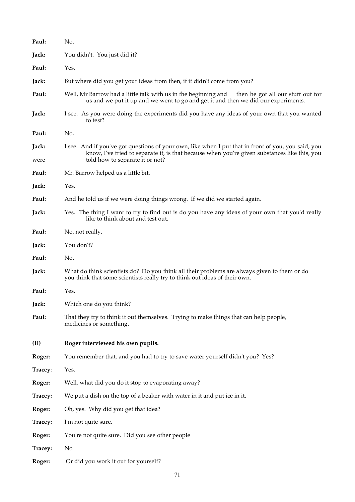| Paul:         | No.                                                                                                                                                                                                                                    |
|---------------|----------------------------------------------------------------------------------------------------------------------------------------------------------------------------------------------------------------------------------------|
| Jack:         | You didn't. You just did it?                                                                                                                                                                                                           |
| Paul:         | Yes.                                                                                                                                                                                                                                   |
| Jack:         | But where did you get your ideas from then, if it didn't come from you?                                                                                                                                                                |
| Paul:         | Well, Mr Barrow had a little talk with us in the beginning and<br>then he got all our stuff out for<br>us and we put it up and we went to go and get it and then we did our experiments.                                               |
| Jack:         | I see. As you were doing the experiments did you have any ideas of your own that you wanted<br>to test?                                                                                                                                |
| Paul:         | No.                                                                                                                                                                                                                                    |
| Jack:<br>were | I see. And if you've got questions of your own, like when I put that in front of you, you said, you<br>know, I've tried to separate it, is that because when you're given substances like this, you<br>told how to separate it or not? |
| Paul:         | Mr. Barrow helped us a little bit.                                                                                                                                                                                                     |
| Jack:         | Yes.                                                                                                                                                                                                                                   |
| Paul:         | And he told us if we were doing things wrong. If we did we started again.                                                                                                                                                              |
| Jack:         | Yes. The thing I want to try to find out is do you have any ideas of your own that you'd really<br>like to think about and test out.                                                                                                   |
| Paul:         | No, not really.                                                                                                                                                                                                                        |
| Jack:         | You don't?                                                                                                                                                                                                                             |
| Paul:         | No.                                                                                                                                                                                                                                    |
| Jack:         | What do think scientists do? Do you think all their problems are always given to them or do<br>you think that some scientists really try to think out ideas of their own.                                                              |
| Paul:         | Yes.                                                                                                                                                                                                                                   |
| Jack:         | Which one do you think?                                                                                                                                                                                                                |
| Paul:         | That they try to think it out themselves. Trying to make things that can help people,<br>medicines or something.                                                                                                                       |
| (II)          | Roger interviewed his own pupils.                                                                                                                                                                                                      |
| Roger:        | You remember that, and you had to try to save water yourself didn't you? Yes?                                                                                                                                                          |
| Tracey:       | Yes.                                                                                                                                                                                                                                   |
| Roger:        | Well, what did you do it stop to evaporating away?                                                                                                                                                                                     |
| Tracey:       | We put a dish on the top of a beaker with water in it and put ice in it.                                                                                                                                                               |
| Roger:        | Oh, yes. Why did you get that idea?                                                                                                                                                                                                    |
| Tracey:       | I'm not quite sure.                                                                                                                                                                                                                    |
| Roger:        | You're not quite sure. Did you see other people                                                                                                                                                                                        |
| Tracey:       | No                                                                                                                                                                                                                                     |
| Roger:        | Or did you work it out for yourself?                                                                                                                                                                                                   |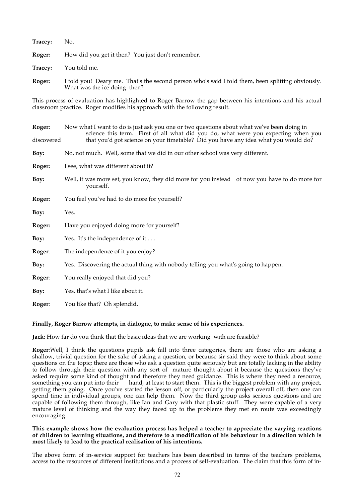| Tracev: No. |                                                   |
|-------------|---------------------------------------------------|
| Roger:      | How did you get it then? You just don't remember. |
|             | <b>Tracev:</b> You told me.                       |

**Roger:** I told you! Deary me. That's the second person who's said I told them, been splitting obviously. What was the ice doing then?

This process of evaluation has highlighted to Roger Barrow the gap between his intentions and his actual classroom practice. Roger modifies his approach with the following result.

| Roger:     | Now what I want to do is just ask you one or two questions about what we've been doing in                                                                               |
|------------|-------------------------------------------------------------------------------------------------------------------------------------------------------------------------|
| discovered | science this term. First of all what did you do, what were you expecting when you<br>that you'd got science on your timetable? Did you have any idea what you would do? |
| Boy:       | No, not much. Well, some that we did in our other school was very different.                                                                                            |
| Roger:     | I see, what was different about it?                                                                                                                                     |
| Boy:       | Well, it was more set, you know, they did more for you instead of now you have to do more for<br>yourself.                                                              |
| Roger:     | You feel you've had to do more for yourself?                                                                                                                            |
| Boy:       | Yes.                                                                                                                                                                    |
| Roger:     | Have you enjoyed doing more for yourself?                                                                                                                               |
| Boy:       | Yes. It's the independence of it                                                                                                                                        |
| Roger:     | The independence of it you enjoy?                                                                                                                                       |
| Boy:       | Yes. Discovering the actual thing with nobody telling you what's going to happen.                                                                                       |
| Roger:     | You really enjoyed that did you?                                                                                                                                        |
| Boy:       | Yes, that's what I like about it.                                                                                                                                       |
| Roger:     | You like that? Oh splendid.                                                                                                                                             |

#### **Finally, Roger Barrow attempts, in dialogue, to make sense of his experiences.**

**Jack**: How far do you think that the basic ideas that we are working with are feasible?

**Roger**:Well, I think the questions pupils ask fall into three categories, there are those who are asking a shallow, trivial question for the sake of asking a question, or because sir said they were to think about some questions on the topic; there are those who ask a question quite seriously but are totally lacking in the ability to follow through their question with any sort of mature thought about it because the questions they've asked require some kind of thought and therefore they need guidance. This is where they need a resource, something you can put into their hand, at least to start them. This is the biggest problem with any project, getting them going. Once you've started the lesson off, or particularly the project overall off, then one can spend time in individual groups, one can help them. Now the third group asks serious questions and are capable of following them through, like Ian and Gary with that plastic stuff. They were capable of a very mature level of thinking and the way they faced up to the problems they met en route was exceedingly encouraging.

#### **This example shows how the evaluation process has helped a teacher to appreciate the varying reactions** of children to learning situations, and therefore to a modification of his behaviour in a direction which is **most likely to lead to the practical realisation of his intentions.**

The above form of in-service support for teachers has been described in terms of the teachers problems, access to the resources of different institutions and a process of self-evaluation. The claim that this form of in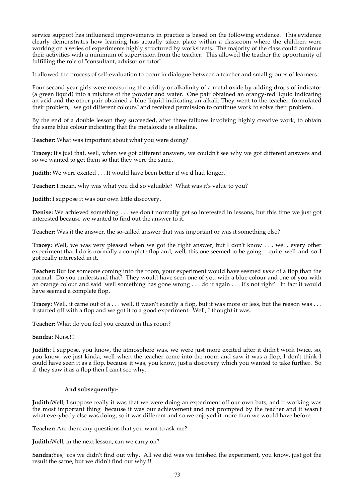service support has influenced improvements in practice is based on the following evidence. This evidence clearly demonstrates how learning has actually taken place within a classroom where the children were working on a series of experiments highly structured by worksheets. The majority of the class could continue their activities with a minimum of supervision from the teacher. This allowed the teacher the opportunity of fulfilling the role of "consultant, advisor or tutor".

It allowed the process of self-evaluation to occur in dialogue between a teacher and small groups of learners.

Four second year girls were measuring the acidity or alkalinity of a metal oxide by adding drops of indicator (a green liquid) into a mixture of the powder and water. One pair obtained an orangy-red liquid indicating an acid and the other pair obtained a blue liquid indicating an alkali. They went to the teacher, formulated their problem, "we got different colours" and received permission to continue work to solve their problem.

By the end of a double lesson they succeeded, after three failures involving highly creative work, to obtain the same blue colour indicating that the metaloxide is alkaline.

**Teacher:** What was important about what you were doing?

**Tracey:** It's just that, well, when we got different answers, we couldn't see why we got different answers and so we wanted to get them so that they were the same.

**Judith:** We were excited . . . It would have been better if we'd had longer.

**Teacher:** I mean, why was what you did so valuable? What was it's value to you?

**Judith:** I suppose it was our own little discovery.

**Denise:** We achieved something . . . we don't normally get so interested in lessons, but this time we just got interested because we wanted to find out the answer to it.

**Teacher:** Was it the answer, the so-called answer that was important or was it something else?

**Tracey:** Well, we was very pleased when we got the right answer, but I don't know . . . well, every other experiment that I do is normally a complete flop and, well, this one seemed to be going quite well and so I got really interested in it.

**Teacher:** But for someone coming into the room, your experiment would have seemed *more* of a flop than the normal. Do you understand that? They would have seen one of you with a blue colour and one of you with an orange colour and said 'well something has gone wrong . . . do it again . . . it's not right'. In fact it would have seemed a complete flop.

**Tracey:** Well, it came out of a . . . well, it wasn't exactly a flop, but it was more or less, but the reason was . . . it started off with a flop and we got it to a good experiment. Well, I thought it was.

**Teacher:** What do you feel you created in this room?

**Sandra:** Noise!!!

**Judith**: I suppose, you know, the atmosphere was, we were just more excited after it didn't work twice, so, you know, we just kinda, well when the teacher come into the room and saw it was a flop, I don't think I could have seen it as a flop, because it was, you know, just a discovery which you wanted to take further. So if they saw it as a flop then I can't see why.

#### **And subsequently:-**

**Judith:**Well, I suppose really it was that we were doing an experiment off our own bats, and it working was the most important thing because it was our achievement and not prompted by the teacher and it wasn't what everybody else was doing, so it was different and so we enjoyed it more than we would have before.

**Teacher:** Are there any questions that you want to ask me?

**Judith:**Well, in the next lesson, can we carry on?

**Sandra:**Yes, 'cos we didn't find out why. All we did was we finished the experiment, you know, just got the result the same, but we didn't find out why!!!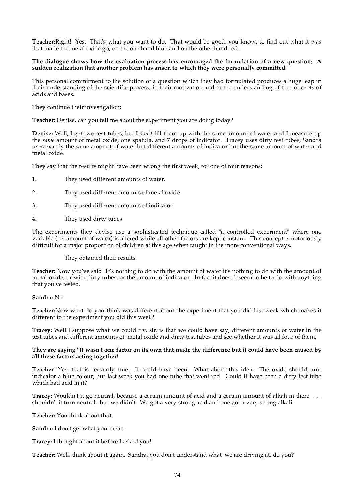**Teacher:**Right! Yes. That's what you want to do. That would be good, you know, to find out what it was that made the metal oxide go, on the one hand blue and on the other hand red.

#### **The dialogue shows how the evaluation process has encouraged the formulation of a new question; A sudden realization that another problem has arisen to which they were personally committed.**

This personal commitment to the solution of a question which they had formulated produces a huge leap in their understanding of the scientific process, in their motivation and in the understanding of the concepts of acids and bases.

They continue their investigation:

**Teacher:** Denise, can you tell me about the experiment you are doing today?

**Denise:** Well, I get two test tubes, but I *don't* fill them up with the same amount of water and I measure up the *same* amount of metal oxide, one spatula, and 7 drops of indicator. Tracey uses dirty test tubes, Sandra uses exactly the same amount of water but different amounts of indicator but the same amount of water and metal oxide.

They say that the results might have been wrong the first week, for one of four reasons:

- 1. They used different amounts of water.
- 2. They used different amounts of metal oxide.
- 3. They used different amounts of indicator.
- 4. They used dirty tubes.

The experiments they devise use a sophisticated technique called "a controlled experiment" where one variable (i.e. amount of water) is altered while all other factors are kept constant. This concept is notoriously difficult for a major proportion of children at this age when taught in the more conventional ways.

They obtained their results.

**Teacher**: Now you've said "It's nothing to do with the amount of water it's nothing to do with the amount of metal oxide, or with dirty tubes, or the amount of indicator. In fact it doesn't seem to be to do with anything that you've tested.

#### **Sandra:** No.

**Teacher:**Now what do you think was different about the experiment that you did last week which makes it different to the experiment you did this week?

**Tracey:** Well I suppose what we could try, sir, is that we could have say, different amounts of water in the test tubes and different amounts of metal oxide and dirty test tubes and see whether it was all four of them.

#### They are saying "It wasn't one factor on its own that made the difference but it could have been caused by **all these factors acting together!**

**Teacher**: Yes, that is certainly true. It could have been. What about this idea. The oxide should turn indicator a blue colour, but last week you had one tube that went red. Could it have been a dirty test tube which had acid in it?

**Tracey:** Wouldn't it go neutral, because a certain amount of acid and a certain amount of alkali in there . . . shouldn't it turn neutral, but we didn't. We got a very strong acid and one got a very strong alkali.

**Teacher:** You think about that.

**Sandra:** I don't get what you mean.

**Tracey:** I thought about it before I asked you!

**Teacher:** Well, think about it again. Sandra, you don't understand what we are driving at, do you?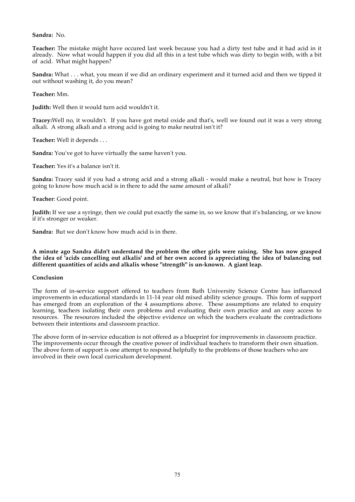### **Sandra:** No.

**Teacher:** The mistake might have occured last week because you had a dirty test tube and it had acid in it already. Now what would happen if you did all this in a test tube which was dirty to begin with, with a bit of acid. What might happen?

**Sandra:** What . . . what, you mean if we did an ordinary experiment and it turned acid and then we tipped it out without washing it, do you mean?

**Teacher:** Mm.

**Judith:** Well then it would turn acid wouldn't it.

**Tracey:**Well no, it wouldn't. If you have got metal oxide and that's, well we found out it was a very strong alkali. A strong alkali and a strong acid is going to make neutral isn't it?

**Teacher:** Well it depends . . .

**Sandra:** You've got to have virtually the same haven't you.

**Teacher:** Yes it's a balance isn't it.

**Sandra:** Tracey said if you had a strong acid and a strong alkali - would make a neutral, but how is Tracey going to know how much acid is in there to add the same amount of alkali?

**Teacher**: Good point.

**Judith:** If we use a syringe, then we could put exactly the same in, so we know that it's balancing, or we know if it's stronger or weaker.

**Sandra:** But we don't know how much acid is in there.

**A minute ago Sandra didn't understand the problem the other girls were raising. She has now grasped** the idea of 'acids cancelling out alkalis' and of her own accord is appreciating the idea of balancing out **different quantities of acids and alkalis whose "strength" is un-known. A giant leap.**

#### **Conclusion**

The form of in-service support offered to teachers from Bath University Science Centre has influenced improvements in educational standards in 11-14 year old mixed ability science groups. This form of support has emerged from an exploration of the 4 assumptions above. These assumptions are related to enquiry learning, teachers isolating their own problems and evaluating their own practice and an easy access to resources. The resources included the objective evidence on which the teachers evaluate the contradictions between their intentions and classroom practice.

The above form of in-service education is not offered as a blueprint for improvements in classroom practice. The improvements occur through the creative power of individual teachers to transform their own situation. The above form of support is one attempt to respond helpfully to the problems of those teachers who are involved in their own local curriculum development.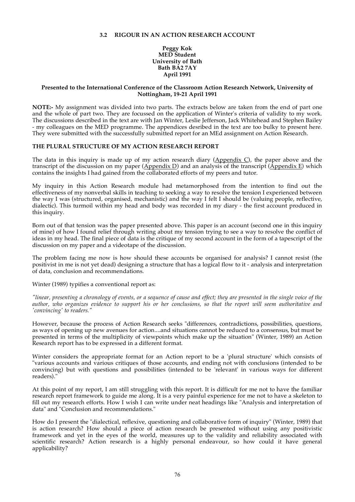### **3.2 RIGOUR IN AN ACTION RESEARCH ACCOUNT**

### **Peggy Kok MED Student University of Bath Bath BA2 7AY April 1991**

#### **Presented to the International Conference of the Classroom Action Research Network, University of Nottingham, 19-21 April 1991**

**NOTE:-** My assignment was divided into two parts. The extracts below are taken from the end of part one and the whole of part two. They are focussed on the application of Winter's criteria of validity to my work. The discussions described in the text are with Jan Winter, Leslie Jefferson, Jack Whitehead and Stephen Bailey - my colleagues on the MED programme. The appendices desribed in the text are too bulky to present here. They were submitted with the successfully submitted report for an MEd assignment on Action Research.

### **THE PLURAL STRUCTURE OF MY ACTION RESEARCH REPORT**

The data in this inquiry is made up of my action research diary  $(\underline{Appendix C})$ , the paper above and the transcript of the discussion on my paper ( $\Delta$ ppendix D) and an analysis of the transcript ( $\Delta$ ppendix E) which contains the insights I had gained from the collaborated efforts of my peers and tutor.

My inquiry in this Action Research module had metamorphosed from the intention to find out the effectiveness of my nonverbal skills in teaching to seeking a way to resolve the tension I experienced between the way I was (structured, organised, mechanistic) and the way I felt I should be (valuing people, reflective, dialectic). This turmoil within my head and body was recorded in my diary - the first account produced in this inquiry.

Born out of that tension was the paper presented above. This paper is an account (second one in this inquiry of mine) of how I found relief through writing about my tension trying to see a way to resolve the conflict of ideas in my head. The final piece of data is the critique of my second account in the form of a tapescript of the discussion on my paper and a videotape of the discussion.

The problem facing me now is how should these accounts be organised for analysis? I cannot resist (the positivist in me is not yet dead) designing a structure that has a logical flow to it - analysis and interpretation of data, conclusion and recommendations.

Winter (1989) typifies a conventional report as:

"linear, presenting a chronology of events, or a sequence of cause and effect; they are presented in the single voice of the author, who organizes evidence to support his or her conclusions, so that the report will seem authoritative and *'convincing' to readers."*

However, because the process of Action Research seeks "differences, contradictions, possibilities, questions, as ways of opening up new avenues for action....and situations cannot be reduced to a consensus, but must be presented in terms of the multiplicity of viewpoints which make up the situation" (Winter, 1989) an Action Research report has to be expressed in a different format.

Winter considers the appropriate format for an Action report to be a 'plural structure' which consists of "various accounts and various critiques of those accounts, and ending not with conclusions (intended to be convincing) but with questions and possibilities (intended to be 'relevant' in various ways for different readers)."

At this point of my report, I am still struggling with this report. It is difficult for me not to have the familiar research report framework to guide me along. It is a very painful experience for me not to have a skeleton to fill out my research efforts. How I wish I can write under neat headings like "Analysis and interpretation of data" and "Conclusion and recommendations."

How do I present the "dialectical, reflexive, questioning and collaborative form of inquiry" (Winter, 1989) that is action research? How should a piece of action research be presented without using any positivistic framework and yet in the eyes of the world, measures up to the validity and reliability associated with scientific research? Action research is a highly personal endeavour, so how could it have general applicability?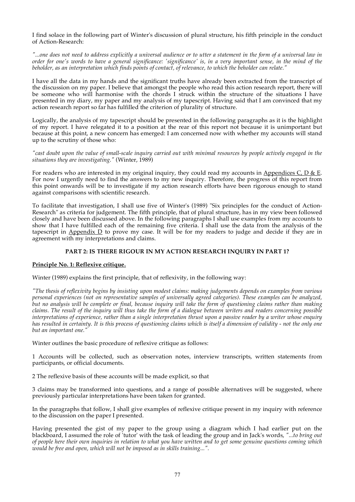I find solace in the following part of Winter's discussion of plural structure, his fifth principle in the conduct of Action-Research:

"...one does not need to address explicitly a universal audience or to utter a statement in the form of a universal law in order for one's words to have a general significance: 'significance' is, in a very important sense, in the mind of the beholder, as an interpretation which finds points of contact, of relevance, to which the beholder can relate."

I have all the data in my hands and the significant truths have already been extracted from the transcript of the discussion on my paper. I believe that amongst the people who read this action research report, there will be someone who will harmonise with the chords I struck within the structure of the situations I have presented in my diary, my paper and my analysis of my tapescript. Having said that I am convinced that my action research report so far has fulfilled the criterion of plurality of structure.

Logically, the analysis of my tapescript should be presented in the following paragraphs as it is the highlight of my report. I have relegated it to a position at the rear of this report not because it is unimportant but because at this point, a new concern has emerged: I am concerned now with whether my accounts will stand up to the scrutiny of those who:

"cast doubt upon the value of small-scale inquiry carried out with minimal resources by people actively engaged in the *situations they are investigating."* (Winter, 1989)

For readers who are interested in my original inquiry, they could read my accounts in Appendices C, D & E. For now I urgently need to find the answers to my new inquiry. Therefore, the progress of this report from this point onwards will be to investigate if my action research efforts have been rigorous enough to stand against comparisons with scientific research.

To facilitate that investigation, I shall use five of Winter's (1989) "Six principles for the conduct of Action-Research" as criteria for judgement. The fifth principle, that of plural structure, has in my view been followed closely and have been discussed above. In the following paragraphs I shall use examples from my accounts to show that I have fulfilled each of the remaining five criteria. I shall use the data from the analysis of the tapescript in  $\Delta$ ppendix  $D$  to prove my case. It will be for my readers to judge and decide if they are in agreement with my interpretations and claims.

# **PART 2: IS THERE RIGOUR IN MY ACTION RESEARCH INQUIRY IN PART 1?**

#### **Principle No. 1: Reflexive critique.**

Winter (1989) explains the first principle, that of reflexivity, in the following way:

"The thesis of reflexivity begins by insisting upon modest claims: making judgements depends on examples from various *personal experiences (not on representative samples of universally agreed categories). These examples can be analyzed,* but no analysis will be complete or final, because inquiry will take the form of questioning claims rather than making claims. The result of the inquiry will thus take the form of a dialogue between writers and readers concerning possible interpretations of experience, rather than a single interpretation thrust upon a passive reader by a writer whose enquiry has resulted in certainty. It is this process of questioning claims which is itself a dimension of validity - not the only one *but an important one."*

Winter outlines the basic procedure of reflexive critique as follows:

1 Accounts will be collected, such as observation notes, interview transcripts, written statements from participants, or official documents.

2 The reflexive basis of these accounts will be made explicit, so that

3 claims may be transformed into questions, and a range of possible alternatives will be suggested, where previously particular interpretations have been taken for granted.

In the paragraphs that follow, I shall give examples of reflexive critique present in my inquiry with reference to the discussion on the paper I presented.

Having presented the gist of my paper to the group using a diagram which I had earlier put on the blackboard, I assumed the role of 'tutor' with the task of leading the group and in Jack's words, *"...to bring out* of people here their own inquiries in relation to what you have written and to get some genuine questions coming which *would be free and open, which will not be imposed as in skills training...".*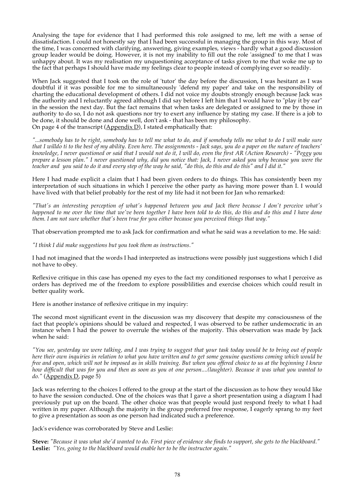Analysing the tape for evidence that I had performed this role assigned to me, left me with a sense of dissatisfaction. I could not honestly say that I had been successful in managing the group in this way. Most of the time, I was concerned with clarifying, answering, giving examples, views - hardly what a good discussion group leader would be doing. However, it is not my inability to fill out the role 'assigned' to me that I was unhappy about. It was my realisation my unquestioning acceptance of tasks given to me that woke me up to the fact that perhaps I should have made my feelings clear to people instead of complying ever so readily.

When Jack suggested that I took on the role of 'tutor' the day before the discussion, I was hesitant as I was doubtful if it was possible for me to simultaneously 'defend my paper' and take on the responsibility of charting the educational development of others. I did not voice my doubts strongly enough because Jack was the authority and I reluctantly agreed although I did say before I left him that I would have to "play it by ear" in the session the next day. But the fact remains that when tasks are delegated or assigned to me by those in authority to do so, I do not ask questions nor try to exert any influence by stating my case. If there is a job to be done, it should be done and done well, don't ask - that has been my philosophy. On page 4 of the transcript  $(\underline{Appendix D})$ , I stated emphatically that:

"...somebody has to be right, somebody has to tell me what to do, and if somebody tells me what to do I will make sure that I willdo ti to the best of my ability. Even here. The assignments - Jack says, you do a paper on the nature of teachers' knowledge, I never questioned or said that I would not do it, I will do, even the first AR (Action Research) - "Peggy you prepare a lesson plan." I never questioned why, did you notice that: Jack, I never asked you why because you were the teacher and you said to do it and every step of the way he said, "do this, do this and do this" and I did it."

Here I had made explicit a claim that I had been given orders to do things. This has consistently been my interpretation of such situations in which I perceive the other party as having more power than I. I would have lived with that belief probably for the rest of my life had it not been for Jan who remarked:

"That's an interesting perception of what's happened between you and Jack there because I don't perceive what's happened to me over the time that we've been together I have been told to do this, do this and do this and I have done them. I am not sure whether that's been true for you either because you perceived things that way."

That observation prompted me to ask Jack for confirmation and what he said was a revelation to me. He said:

*"I think I did make suggestions but you took them as instructions."*

I had not imagined that the words I had interpreted as instructions were possibly just suggestions which I did not have to obey.

Reflexive critique in this case has opened my eyes to the fact my conditioned responses to what I perceive as orders has deprived me of the freedom to explore possiblilities and exercise choices which could result in better quality work.

Here is another instance of reflexive critique in my inquiry:

The second most significant event in the discussion was my discovery that despite my consciousness of the fact that people's opinions should be valued and respected, I was observed to be rather undemocratic in an instance when I had the power to overrule the wishes of the majority. This observation was made by Jack when he said:

"You see, yesterday we were talking, and I was trying to suggest that your task today would be to bring out of people here their own inquiries in relation to what you have written and to get some genuine questions coming which would be free and open, which will not be imposed as in skills training. But when you offered choice to us at the beginning I knew how difficult that was for you and then as soon as you ot one person....(laughter). Because it was what you wanted to *do."* (Appendix D, page 5)

Jack was referring to the choices I offered to the group at the start of the discussion as to how they would like to have the session conducted. One of the choices was that I gave a short presentation using a diagram I had previously put up on the board. The other choice was that people would just respond freely to what I had written in my paper. Although the majority in the group preferred free response, I eagerly sprang to my feet to give a presentation as soon as one person had indicated such a preference.

Jack's evidence was corroborated by Steve and Leslie:

Steve: "Because it was what she'd wanted to do. First piece of evidence she finds to support, she gets to the blackboard." **Leslie:** *"Yes, going to the blackboard would enable her to be the instructor again."*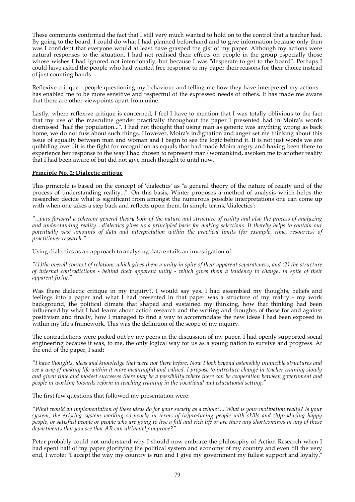These comments confirmed the fact that I still very much wanted to hold on to the control that a teacher had. By going to the board, I could do what I had planned beforehand and to give information because only then was I confident that everyone would at least have grasped the gist of my paper. Although my actions were natural responses to the situation, I had not realised their effects on people in the group especially those whose wishes I had ignored not intentionally, but because I was "desperate to get to the board". Perhaps I could have asked the people who had wanted free response to my paper their reasons for their choice instead of just counting hands.

Reflexive critique - people questioning my behaviour and telling me how they have interpreted my actions has enabled me to be more sensitive and respectful of the expressed needs of others. It has made me aware that there are other viewpoints apart from mine.

Lastly, where reflexive critique is concerned, I feel I have to mention that I was totally oblivious to the fact that my use of the masculine gender practically throughout the paper I presented had in Moira's words dismissed "half the population...". I had not thought that using man as generic was anything wrong as back home, we do not fuss about such things. However, Moira's indignation and anger set me thinking about this issue of equality between man and woman and I begin to see the logic behind it. It is not just words we are quibbling over, it is the fight for recognition as equals that had made Moira angry and having been there to experience her response to the way I had chosen to represent man/womankind, awoken me to another reality that I had been aware of but did not give much thought to until now.

### **Principle No. 2: Dialectic critique**

This principle is based on the concept of 'dialectics' as "a general theory of the nature of reality and of the process of understanding reality...". On this basis, Winter proposes a method of analysis which helps the researcher decide what is significant from amongst the numerous possible interpretations one can come up with when one takes a step back and reflects upon them. In simple terms, 'dialectics':

"...puts forward a coherent general theory both of the nature and structure of reality and also the process of analyzing and understanding reality....dialectics gives us a principled basis for making selections. It thereby helps to contain our potentially vast amounts of data and interpretation within the practical limits (for example, time, resources) of *practitioner research."*

Using dialectics as an approach to analysing data entails an investigation of:

 $"$ (1) the overall context of relations which gives them a unity in spite of their apparent separateness, and (2) the structure of internal contradictions - behind their apparent unity - which gives them a tendency to change, in spite of their *apparent fixity."*

Was there dialectic critique in my inquiry?. I would say yes. I had assembled my thoughts, beliefs and feelings into a paper and what I had presented in that paper was a structure of my reality - my work background, the political climate that shaped and sustained my thinking, how that thinking had been influenced by what I had learnt about action research and the writing and thoughts of those for and against positivism and finally, how I managed to find a way to accommodate the new ideas I had been exposed to within my life's framework. This was the definition of the scope of my inquiry.

The contradictions were picked out by my peers in the discussion of my paper. I had openly supported social engineering because it was, to me, the only logical way for us as a young nation to survive and progress. At the end of the paper, I said:

"I have thoughts, ideas and knowledge that were not there before. Now I look beyond ostensibly invincible structures and see a way of making life within it more meaningful and valued. I propose to introduce change in teacher training slowly and given time and modest successes there may be a possibility where there can be cooperation between government and *people in working towards reform in teaching training in the vocational and educational setting."*

The first few questions that followed my presentation were:

"What would an implementation of these ideas do for your society as a whole?....What is your motivation really? Is your system, the existing system working so poorly in terms of (a)producing people with skills and (b)producing happy people, or satisfied people or people who are going to live a full and rich life or are there any shortcomings in any of those *departments that you see that AR can ultimately improve?"*

Peter probably could not understand why I should now embrace the philosophy of Action Research when I had spent half of my paper glorifying the political system and economy of my country and even till the very end, I wrote: "I accept the way my country is run and I give my government my fullest support and loyalty."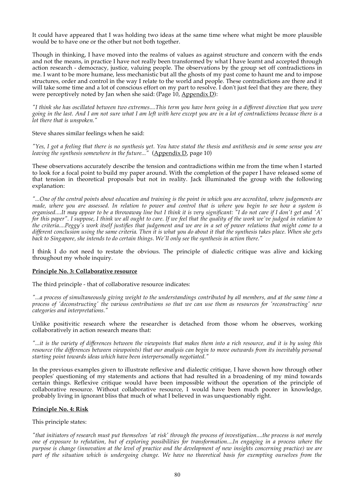It could have appeared that I was holding two ideas at the same time where what might be more plausible would be to have one or the other but not both together.

Though in thinking, I have moved into the realms of values as against structure and concern with the ends and not the means, in practice I have not really been transformed by what I have learnt and accepted through action research - democracy, justice, valuing people. The observations by the group set off contradictions in me. I want to be more humane, less mechanistic but all the ghosts of my past come to haunt me and to impose structures, order and control in the way I relate to the world and people. These contradictions are there and it will take some time and a lot of conscious effort on my part to resolve. I don't just feel that they are there, they were perceptively noted by Jan when she said: (Page  $10$ , Appendix D):

"I think she has oscillated between two extremes....This term you have been going in a different direction that you were going in the last. And I am not sure what I am left with here except you are in a lot of contradictions because there is a *lot there that is unspoken."*

Steve shares similar feelings when he said:

"Yes, I got a feeling that there is no synthesis yet. You have stated the thesis and antithesis and in some sense you are *leaving the synthesis somewhere in the future..."* (Appendix D, page 10)

These observations accurately describe the tension and contradictions within me from the time when I started to look for a focal point to build my paper around. With the completion of the paper I have released some of that tension in theoretical proposals but not in reality. Jack illuminated the group with the following explanation:

"...One of the central points about education and training is the point in which you are accredited, where judgements are made, where you are assessed. In relation to power and control that is where you begin to see how a system is organised....It may appear to be a throwaway line but I think it is very significant: "I do not care if I don't get and 'A' for this paper". I suppose, I think we all ought to care. If we feel that the quality of the work we've judged in relation to the criteria....Peggy's work itself justifies that judgement and we are in a set of power relations that might come to a different conclusion using the same criteria. Then it is what you do about it that the synthesis takes place. When she gets *back to Singapore, she intends to do certain things. We'll only see the synthesis in action there."*

I think I do not need to restate the obvious. The principle of dialectic critique was alive and kicking throughout my whole inquiry.

### **Principle No. 3: Collaborative resource**

The third principle - that of collaborative resource indicates:

a process of simultaneously giving weight to the understandings contributed by all members, and at the same time a." process of 'deconstructing' the various contributions so that we can use them as resources for 'reconstructing' new *categories and interpretations."*

Unlike positivitic research where the researcher is detached from those whom he observes, working collaboratively in action research means that:

"...it is the variety of differences between the viewpoints that makes them into a rich resource, and it is by using this resource (the differences between viewpoints) that our analysis can begin to move outwards from its inevitably personal *starting point towards ideas which have been interpersonally negotiated."*

In the previous examples given to illustrate reflexive and dialectic critique, I have shown how through other peoples' questioning of my statements and actions that had resulted in a broadening of my mind towards certain things. Reflexive critique would have been impossible without the operation of the principle of collaborative resource. Without collaborative resource, I would have been much poorer in knowledge, probably living in ignorant bliss that much of what I believed in was unquestionably right.

#### **Principle No. 4: Risk**

#### This principle states:

"that initiators of research must put themselves 'at risk' through the process of investigation....the process is not merely one of exposure to refutation, but of exploring possibilities for transformation....In engaging in a process where the purpose is change (innovation at the level of practice and the development of new insights concerning practice) we are part of the situation which is undergoing change. We have no theoretical basis for exempting ourselves from the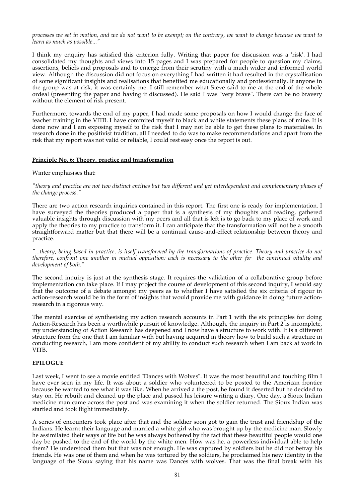processes we set in motion, and we do not want to be exempt; on the contrary, we want to change because we want to *learn as much as possible..."*

I think my enquiry has satisfied this criterion fully. Writing that paper for discussion was a 'risk'. I had consolidated my thoughts and views into 15 pages and I was prepared for people to question my claims, assertions, beliefs and proposals and to emerge from their scrutiny with a much wider and informed world view. Although the discussion did not focus on everything I had written it had resulted in the crystallisation of some significant insights and realisations that benefited me educationally and professionally. If anyone in the group was at risk, it was certainly me. I still remember what Steve said to me at the end of the whole ordeal (presenting the paper and having it discussed). He said I was "very brave". There can be no bravery without the element of risk present.

Furthermore, towards the end of my paper, I had made some proposals on how I would change the face of teacher training in the VITB. I have commited myself to black and white statements these plans of mine. It is done now and I am exposing myself to the risk that I may not be able to get these plans to materialise. In research done in the positivist tradition, all I needed to do was to make recommendations and apart from the risk that my report was not valid or reliable, I could rest easy once the report is out.

#### **Principle No. 6: Theory, practice and transformation**

#### Winter emphasises that:

"theory and practice are not two distinct entities but two different and yet interdependent and complementary phases of *the change process."*

There are two action research inquiries contained in this report. The first one is ready for implementation. I have surveyed the theories produced a paper that is a synthesis of my thoughts and reading, gathered valuable insights through discussion with my peers and all that is left is to go back to my place of work and apply the theories to my practice to transform it. I can anticipate that the transformation will not be a smooth straightforward matter but that there will be a continual cause-and-effect relationship between theory and practice.

"...theory, being based in practice, is itself transformed by the transformations of practice. Theory and practice do not therefore, confront one another in mutual opposition: each is necessary to the other for the continued vitality and *development of both."*

The second inquiry is just at the synthesis stage. It requires the validation of a collaborative group before implementation can take place. If I may project the course of development of this second inquiry, I would say that the outcome of a debate amongst my peers as to whether I have satisfied the six criteria of rigour in action-research would be in the form of insights that would provide me with guidance in doing future actionresearch in a rigorous way.

The mental exercise of synthesising my action research accounts in Part 1 with the six principles for doing Action-Research has been a worthwhile pursuit of knowledge. Although, the inquiry in Part 2 is incomplete, my understanding of Action Research has deepened and I now have a structure to work with. It is a different structure from the one that I am familiar with but having acquired in theory how to build such a structure in conducting research, I am more confident of my ability to conduct such research when I am back at work in VITB.

#### **EPILOGUE**

Last week, I went to see a movie entitled "Dances with Wolves". It was the most beautiful and touching film I have ever seen in my life. It was about a soldier who volunteered to be posted to the American frontier because he wanted to see what it was like. When he arrived a the post, he found it deserted but he decided to stay on. He rebuilt and cleaned up the place and passed his leisure writing a diary. One day, a Sioux Indian medicine man came across the post and was examining it when the soldier returned. The Sioux Indian was startled and took flight immediately.

A series of encounters took place after that and the soldier soon got to gain the trust and friendship of the Indians. He learnt their language and married a white girl who was brought up by the medicine man. Slowly he assimilated their ways of life but he was always bothered by the fact that these beautiful people would one day be pushed to the end of the world by the white men. How was he, a powerless individual able to help them? He understood them but that was not enough. He was captured by soldiers but he did not betray his friends. He was one of them and when he was tortured by the soldiers, he proclaimed his new identity in the language of the Sioux saying that his name was Dances with wolves. That was the final break with his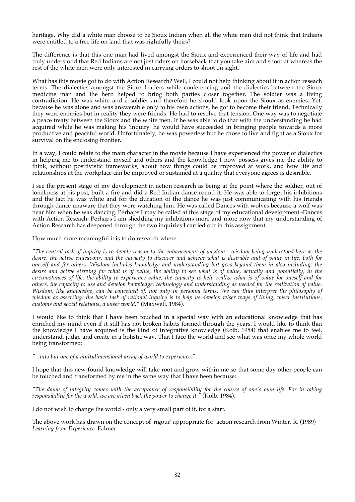heritage. Why did a white man choose to be Sioux Indian when all the white man did not think that Indians were entitled to a free life on land that was rightfully theirs?

The difference is that this one man had lived amongst the Sioux and experienced their way of life and had truly understood that Red Indians are not just riders on horseback that you take aim and shoot at whereas the rest of the white men were only interested in carrying orders to shoot on sight.

What has this movie got to do with Action Research? Well, I could not help thinking about it in action reseach terms. The dialectics amongst the Sioux leaders while conferencing and the dialectics between the Sioux medicine man and the hero helped to bring both parties closer together. The soldier was a living contradiction. He was white and a soldier and therefore he should look upon the Sioux as enemies. Yet, because he was alone and was answerable only to his own actions, he got to become their friend. Technically they were enemies but in reality they were friends. He had to resolve that tension. One way was to negotiate a peace treaty between the Sioux and the white men. If he was able to do that with the understanding he had acquired while he was making his 'inquiry' he would have succeeded in bringing people towards a more productive and peaceful world. Unfortunately, he was powerless but he chose to live and fight as a Sioux for survival on the enclosing frontier.

In a way, I could relate to the main character in the movie because I have experienced the power of dialectics in helping me to understand myself and others and the knowledge I now possess gives me the ability to think, without positivistic frameworks, about how things could be improved at work, and how life and relationships at the workplace can be improved or sustained at a quality that everyone agrees is desirable.

I see the present stage of my development in action research as being at the point where the soldier, out of loneliness at his post, built a fire and did a Red Indian dance round it. He was able to forget his inhibitions and the fact he was white and for the duration of the dance he was just communicating with his friends through dance unaware that they were watching him. He was called Dances with wolves because a wolf was near him when he was dancing. Perhaps I may be called at this stage of my educational development -Dances with Action Reseach. Perhaps I am shedding my inhibitions more and more now that my understanding of Action Research has deepened through the two inquiries I carried out in this assignment.

How much more meaningful it is to do research where:

"The central task of inquiry is to devote reason to the enhancement of wisdom - wisdom being understood here as the desire, the active endeavour, and the capacity to discover and achieve what is desirable and of value in life, both for oneself and for others. Wisdom includes knowledge and understanding but goes beyond them in also including: the desire and active striving for what is of value, the ability to see what is of value, actually and potentially, in the circumstances of life, the ability to experience value, the capacity to help realize what is of value for oneself and for others, the capacity to use and develop knowledge, technology and understanding as needed for the realization of value. Wisdom, like knowledge, can be conceived of, not only in personal terms. We can thus interpret the philosophy of wisdom as asserting: the basic task of rational inquiry is to help us develop wiser ways of living, wiser institutions, *customs and social relations, a wiser world."* (Maxwell, 1984).

I would like to think that I have been touched in a special way with an educational knowledge that has enriched my mind even if it still has not broken habits formed through the years. I would like to think that the knowledge I have acquired is the kind of integrative knowledge (Kolb, 1984) that enables me to feel, understand, judge and create in a holistic way. That I face the world and see what was once my whole world being transformed:

*"...into but one of a multidimensional array of world to experience."*

I hope that this new-found knowledge will take root and grow within me so that some day other people can be touched and transformed by me in the same way that I have been because:

"The dawn of integrity comes with the acceptance of responsibility for the course of one's own life. For in taking *responsibility for the world, we are given back the power to change it."* (Kolb, 1984).

I do not wish to change the world - only a very small part of it, for a start.

The above work has drawn on the concept of 'rigour' appropriate for action research from Winter, R. (1989) *Learning from Experience.* Falmer.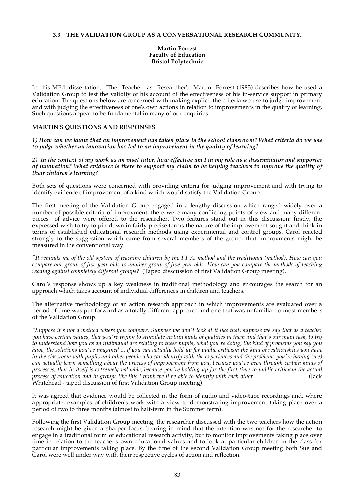### **3.3 THE VALIDATION GROUP AS A CONVERSATIONAL RESEARCH COMMUNITY.**

### **Martin Forrest Faculty of Education Bristol Polytechnic**

In his MEd. dissertation, 'The Teacher as Researcher', Martin Forrest (1983) describes how he used a Validation Group to test the validity of his account of the effectiveness of his in-service support in primary education. The questions below are concerned with making explicit the criteria we use to judge improvement and with judging the effectiveness of one's own actions in relation to improvements in the quality of learning. Such questions appear to be fundamental in many of our enquiries.

# **MARTIN'S QUESTIONS AND RESPONSES**

1) How can we know that an improvement has taken place in the school classroom? What criteria do we use *to judge whether an innovation has led to an improvement in the quality of learning?*

2) In the context of my work as an inset tutor, how effective am I in my role as a disseminator and supporter of innovation? What evidence is there to support my claim to be helping teachers to improve the quality of *their children's learning?*

Both sets of questions were concerned with providing criteria for judging improvement and with trying to identify evidence of improvement of a kind which would satisfy the Validation Group.

The first meeting of the Validation Group engaged in a lengthy discussion which ranged widely over a number of possible criteria of improvment; there were many conflicting points of view and many different pieces of advice were offered to the researcher. Two features stand out in this discussion: firstly, the expressed wish to try to pin down in fairly precise terms the nature of the improvement sought and think in terms of established educational research methods using experimental and control groups. Carol reacted strongly to the suggestion which came from several members of the group, that improvments might be measured in the conventional way:

"It reminds me of the old system of teaching children by the I.T.A. method and the traditional (method). How can you compare one group of five year olds to another group of five year olds. How can you compare the methods of teaching *reading against completely different groups?* (Taped disscussion of first Validation Group meeting).

Carol's response shows up a key weakness in traditional methodology and encourages the search for an approach which takes account of individual differences in children and teachers.

The alternative methodology of an action research approach in which improvements are evaluated over a period of time was put forward as a totally different approach and one that was unfamiliar to most members of the Validation Group.

"Suppose it's not a method where you compare. Suppose we don't look at it like that, suppose we say that as a teacher you have certain values, that you're trying to stimulate certain kinds of qualities in them and that's our main task, to try to understand how you as an individual are relating to these pupils, what you're doing, the kind of problems you say you have, the solutions you've imagined ... if you can actually hold up for public criticism the kind of realtionships you have in the classroom with pupils and other people who can identify with the experiences and the problems you're having (we) can actually learn something about the process of improvement from you, because you've been through certain kinds of processes, that in itself is extremely valuable, because you're holding up for the first time to public criticism the actual process of education and in groups like this I think we'll be able to identify with each other". (Jack Whitehead - taped discussion of first Validation Group meeting)

It was agreed that evidence would be collected in the form of audio and video-tape recordings and, where appropriate, examples of children's work with a view to demonstrating improvement taking place over a period of two to three months (almost to half-term in the Summer term).

Following the first Validation Group meeting, the researcher discussed with the two teachers how the action research might be given a sharper focus, bearing in mind that the intention was not for the researcher to engage in a traditional form of educational research activity, but to monitor improvements taking place over time in relation to the teacher's own educational values and to look at particular children in the class for particular improvements taking place. By the time of the second Validation Group meeting both Sue and Carol were well under way with their respective cycles of action and reflection.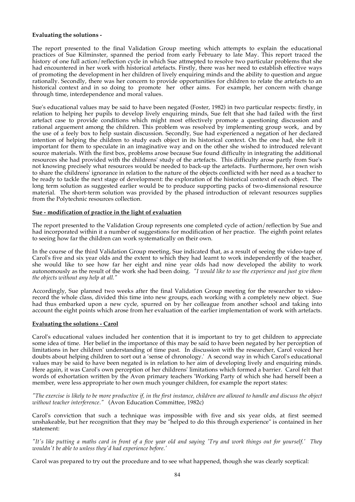### **Evaluating the solutions -**

The report presented to the final Validation Group meeting which attempts to explain the educational practices of Sue Kilminster, spanned the period from early February to late May. This report traced the history of one full action/reflection cycle in which Sue attmepted to resolve two particular problems that she had encountered in her work with historical artefacts. Firstly, there was her need to establish effective ways of promoting the development in her children of lively enquiring minds and the ability to question and argue rationally. Secondly, there was her concern to provide opportunities for children to relate the artefacts to an historical context and in so doing to promote her other aims. For example, her concern with change through time, interdependence and moral values.

Sue's educational values may be said to have been negated (Foster, 1982) in two particular respects: firstly, in relation to helping her pupils to develop lively enquiring minds, Sue felt that she had failed with the first artefact case to provide conditions which might most effectively promote a questioning discussion and rational arguement among the children. This problem was resolved by implementing group work, and by the use of a feely box to help sustain discussion. Secondly, Sue had experienced a negation of her declared intention of helping the children to study each object in its historical context. On the one had, she felt it important for them to speculate in an imaginative way and on the other she wished to introduced relevant source materials. With the first box, problems arose because Sue found difficulty in integrating the additional resources she had provided with the childrens' study of the artefacts. This difficulty arose partly from Sue's not knowing precisely what resources would be needed to back-up the artefacts. Furthermore, her own wish to share the childrens' ignorance in relation to the nature of the objects conflicted with her need as a teacher to be ready to tackle the next stage of development: the exploration of the historical context of each object. The long term solution as suggested earlier would be to produce supporting packs of two-dimensional resource material. The short-term solution was provided by the phased introduction of relevant resources supplies from the Polytechnic resources collection.

### **Sue - modification of practice in the light of evaluation**

The report presented to the Validation Group represents one completed cycle of action/reflection by Sue and had incorporated within it a number of suggestions for modification of her practice. The eighth point relates to seeing how far the children can work systematically on their own.

In the course of the third Validation Group meeting, Sue indicated that, as a result of seeing the video-tape of Carol's five and six year olds and the extent to which they had learnt to work independently of the teacher, she would like to see how far her eight and nine year olds had now developed the ability to work autonomously as the result of the work she had been doing. *"I would like to use the experience and just give them the objects without any help at all."*

Accordingly, Sue planned two weeks after the final Validation Group meeting for the researcher to videorecord the whole class, divided this time into new groups, each working with a completely new object. Sue had thus embarked upon a new cycle, spurred on by her colleague from another school and taking into account the eight points which arose from her evaluation of the earlier implementation of work with artefacts.

# **Evaluating the solutions - Carol**

Carol's educational values included her contention that it is important to try to get children to appreciate some idea of time. Her belief in the importance of this may be said to have been negated by her perception of limitations in her children' understanding of time past. In discussion with the researcher, Carol voiced her doubts about helping children to sort out a 'sense of chronology.' A second way in which Carol's educational values may be said to have been negated is in relation to her aim of developing lively and enquiring minds. Here again, it was Carol's own perception of her childrens' limitations which formed a barrier. Carol felt that words of exhortation written by the Avon primary teachers 'Working Party of which she had herself been a member, were less appropriate to her own much younger children, for example the report states:

"The exercise is likely to be more productive if, in the first instance, children are allowed to handle and discuss the object *without teacher interference."* (Avon Education Committee, 1982c)

Carol's conviction that such a technique was impossible with five and six year olds, at first seemed unshakeable, but her recognition that they may be "helped to do this through experience" is contained in her statement:

"It's like putting a maths card in front of a five year old and saying 'Try and work things out for yourself.' They *wouldn't be able to unless they'd had experience before.'*

Carol was prepared to try out the procedure and to see what happened, though she was clearly sceptical: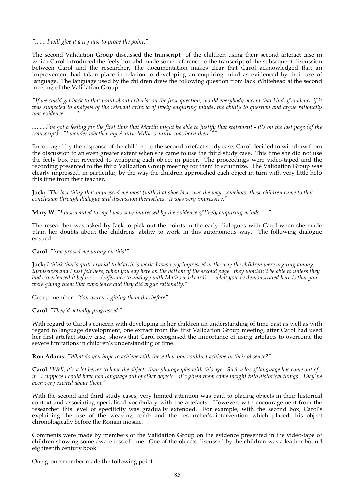*"....... I will give it a try just to prove the point."*

The second Validation Group discussed the transcript of the children using their second artefact case in which Carol introduced the feely box abd made some reference to the transcript of the subsequent discussion between Carol and the researcher. The documentation makes clear that Carol acknowledged that an improvement had taken place in relation to developing an enquiring mind as evidenced by their use of language. The language used by the children drew the following question from Jack Whitehead at the second meeting of the Validation Group:

"If we could get back to that point about criteria; on the first question, would everybody accept that kind of evidence if it was subjected to analysis of the relevant criteria of lively enquiring minds, the ability to question and argue rationally *was evidence ........?*

........ I've got a feeling for the first time that Martin might be able to justify that statement - it's on the last page (of the *transcript) - "I wonder whether my Auntie Millie's auntie was born there.""*

Encouraged by the response of the children to the second artefact study case, Carol decided to withdraw from the discussion to an even greater extent when she came to use the third study case. This time she did not use the feely box but reverted to wrapping each object in paper. The proceedings were video-taped and the recording presented to the third Validation Group meeting for them to scrutinize. The Validation Group was clearly impressed, in particular, by the way the children approached each object in turn with very little help this time from their teacher.

Jack: "The last thing that impressed me most (with that shoe last) was the way, somehow, these children came to that *conclusion through dialogue and discussion themselves. It was very impressive."*

**Mary W:** "I just wanted to say I was very impressed by the evidence of lively enquiring minds......"

The researcher was asked by Jack to pick out the points in the early dialogues with Carol when she made plain her doubts about the childrens' ability to work in this autonomous way. The following dialogue ensued:

**Carol:** *"You proved me wrong on this!"*

**Jack:** I think that's quite crucial to Martin's work: I was very impreseed at the way the children were arguing among themselves and I just felt here, when you say here on the bottom of the second page "they wouldn't be able to unless they had experienced it before".... (reference to analogy with Maths workcard) .... what you've demonstrated here is that you *were giving them that experience and they did argue rationally."*

Group member: *"You weren't giving them this before"*

**Carol:** *"They'd actually progressed."*

With regard to Carol's concern with developing in her children an understanding of time past as well as with regard to language development, one extract from the first Validation Group meeting, after Carol had used her first artefact study case, shows that Carol recognised the importance of using artefacts to overcome the severe limitations in children's understanding of time.

**Ron Adams:** *"What do you hope to achieve with these that you couldn't achieve in their absence?"*

Carol: "Well, it's a lot better to have the objects than photographs with this age. Such a lot of language has come out of it - I suppose I could have had language out of other objects - it's given them some insight into historical things. They've *been very excited about them."*

With the second and third study cases, very limited attention was paid to placing objects in their historical context and associating specialised vocabulary with the artefacts. However, with encouragement from the researcher this level of specificity was gradually extended. For example, with the second box, Carol's explaining the use of the weaving comb and the researcher's intervention which placed this object chronologically before the Roman mosaic.

Comments were made by members of the Validation Group on the evidence presented in the video-tape of children showing some awareness of time. One of the objects discussed by the children was a leather-bound eighteenth century book.

One group member made the following point: